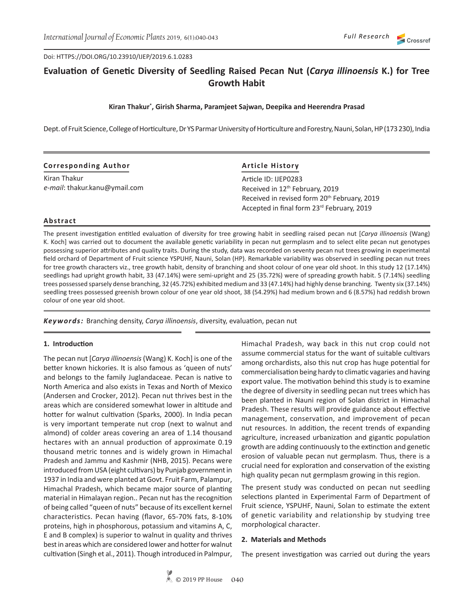Doi: HTTPS://DOI.ORG/10.23910/IJEP/2019.6.1.0283

# **Evaluation of Genetic Diversity of Seedling Raised Pecan Nut (***Carya illinoensis* **K.) for Tree Growth Habit**

## **Kiran Thakur\* , Girish Sharma, Paramjeet Sajwan, Deepika and Heerendra Prasad**

Dept. of Fruit Science, College of Horticulture, Dr YS Parmar University of Horticulture and Forestry, Nauni, Solan, HP (173 230), India

| <b>Corresponding Author</b>   | <b>Article History</b>                                   |  |
|-------------------------------|----------------------------------------------------------|--|
| Kiran Thakur                  | Article ID: IJEP0283                                     |  |
| e-mail: thakur.kanu@ymail.com | Received in 12 <sup>th</sup> February, 2019              |  |
|                               | Received in revised form 20 <sup>th</sup> February, 2019 |  |
|                               | Accepted in final form 23rd February, 2019               |  |

## **Abstract**

The present investigation entitled evaluation of diversity for tree growing habit in seedling raised pecan nut [*Carya illinoensis* (Wang) K. Koch] was carried out to document the available genetic variability in pecan nut germplasm and to select elite pecan nut genotypes possessing superior attributes and quality traits. During the study, data was recorded on seventy pecan nut trees growing in experimental field orchard of Department of Fruit science YSPUHF, Nauni, Solan (HP). Remarkable variability was observed in seedling pecan nut trees for tree growth characters viz., tree growth habit, density of branching and shoot colour of one year old shoot. In this study 12 (17.14%) seedlings had upright growth habit, 33 (47.14%) were semi-upright and 25 (35.72%) were of spreading growth habit. 5 (7.14%) seedling trees possessed sparsely dense branching, 32 (45.72%) exhibited medium and 33 (47.14%) had highly dense branching. Twenty six (37.14%) seedling trees possessed greenish brown colour of one year old shoot, 38 (54.29%) had medium brown and 6 (8.57%) had reddish brown colour of one year old shoot.

*Keywords:* Branching density, *Carya illinoensis*, diversity, evaluation, pecan nut

## **1. Introduction**

The pecan nut [*Carya illinoensis* (Wang) K. Koch] is one of the better known hickories. It is also famous as 'queen of nuts' and belongs to the family Juglandaceae. Pecan is native to North America and also exists in Texas and North of Mexico (Andersen and Crocker, 2012). Pecan nut thrives best in the areas which are considered somewhat lower in altitude and hotter for walnut cultivation (Sparks, 2000). In India pecan is very important temperate nut crop (next to walnut and almond) of colder areas covering an area of 1.14 thousand hectares with an annual production of approximate 0.19 thousand metric tonnes and is widely grown in Himachal Pradesh and Jammu and Kashmir (NHB, 2015). Pecans were introduced from USA (eight cultivars) by Punjab government in 1937 in India and were planted at Govt. Fruit Farm, Palampur, Himachal Pradesh, which became major source of planting material in Himalayan region.. Pecan nut has the recognition of being called "queen of nuts" because of its excellent kernel characteristics. Pecan having (flavor, 65-70% fats, 8-10% proteins, high in phosphorous, potassium and vitamins A, C, E and B complex) is superior to walnut in quality and thrives best in areas which are considered lower and hotter for walnut cultivation (Singh et al., 2011). Though introduced in Palmpur, Himachal Pradesh, way back in this nut crop could not assume commercial status for the want of suitable cultivars among orchardists, also this nut crop has huge potential for commercialisation being hardy to climatic vagaries and having export value. The motivation behind this study is to examine the degree of diversity in seedling pecan nut trees which has been planted in Nauni region of Solan district in Himachal Pradesh. These results will provide guidance about effective management, conservation, and improvement of pecan nut resources. In addition, the recent trends of expanding agriculture, increased urbanization and gigantic population growth are adding continuously to the extinction and genetic erosion of valuable pecan nut germplasm. Thus, there is a crucial need for exploration and conservation of the existing high quality pecan nut germplasm growing in this region.

The present study was conducted on pecan nut seedling selections planted in Experimental Farm of Department of Fruit science, YSPUHF, Nauni, Solan to estimate the extent of genetic variability and relationship by studying tree morphological character.

#### **2. Materials and Methods**

The present investigation was carried out during the years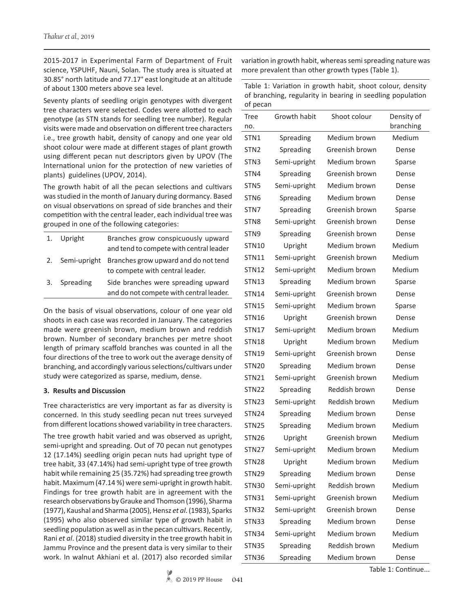2015-2017 in Experimental Farm of Department of Fruit science, YSPUHF, Nauni, Solan. The study area is situated at 30.85° north latitude and 77.17° east longitude at an altitude of about 1300 meters above sea level.

Seventy plants of seedling origin genotypes with divergent tree characters were selected. Codes were allotted to each genotype (as STN stands for seedling tree number). Regular visits were made and observation on different tree characters i.e., tree growth habit, density of canopy and one year old shoot colour were made at different stages of plant growth using different pecan nut descriptors given by UPOV (The International union for the protection of new varieties of plants) guidelines (UPOV, 2014).

The growth habit of all the pecan selections and cultivars was studied in the month of January during dormancy. Based on visual observations on spread of side branches and their competition with the central leader, each individual tree was grouped in one of the following categories:

| 1. | Upright      | Branches grow conspicuously upward<br>and tend to compete with central leader  |
|----|--------------|--------------------------------------------------------------------------------|
| 2. | Semi-upright | Branches grow upward and do not tend<br>to compete with central leader.        |
|    | 3. Spreading | Side branches were spreading upward<br>and do not compete with central leader. |

On the basis of visual observations, colour of one year old shoots in each case was recorded in January. The categories made were greenish brown, medium brown and reddish brown. Number of secondary branches per metre shoot length of primary scaffold branches was counted in all the four directions of the tree to work out the average density of branching, and accordingly various selections/cultivars under study were categorized as sparse, medium, dense.

# **3. Results and Discussion**

Tree characteristics are very important as far as diversity is concerned. In this study seedling pecan nut trees surveyed from different locations showed variability in tree characters.

The tree growth habit varied and was observed as upright, semi-upright and spreading. Out of 70 pecan nut genotypes 12 (17.14%) seedling origin pecan nuts had upright type of tree habit, 33 (47.14%) had semi-upright type of tree growth habit while remaining 25 (35.72%) had spreading tree growth habit. Maximum (47.14 %) were semi-upright in growth habit. Findings for tree growth habit are in agreement with the research observations by Grauke and Thomson (1996), Sharma (1977), Kaushal and Sharma (2005), Hensz *et al*. (1983), Sparks (1995) who also observed similar type of growth habit in seedling population as well as in the pecan cultivars. Recently, Rani *et al*. (2018) studied diversity in the tree growth habit in Jammu Province and the present data is very similar to their work. In walnut Akhiani et al. (2017) also recorded similar variation in growth habit, whereas semi spreading nature was more prevalent than other growth types (Table 1).

Table 1: Variation in growth habit, shoot colour, density of branching, regularity in bearing in seedling population of pecan

| $\cdot$ p = $\cdot$ m |              |                |                         |
|-----------------------|--------------|----------------|-------------------------|
| Tree<br>no.           | Growth habit | Shoot colour   | Density of<br>branching |
| STN1                  | Spreading    | Medium brown   | Medium                  |
| STN <sub>2</sub>      | Spreading    | Greenish brown | Dense                   |
| STN3                  | Semi-upright | Medium brown   | Sparse                  |
| STN4                  | Spreading    | Greenish brown | Dense                   |
| STN <sub>5</sub>      | Semi-upright | Medium brown   | Dense                   |
| STN6                  | Spreading    | Medium brown   | Dense                   |
| STN7                  | Spreading    | Greenish brown | Sparse                  |
| STN <sub>8</sub>      | Semi-upright | Greenish brown | Dense                   |
| STN9                  | Spreading    | Greenish brown | Dense                   |
| <b>STN10</b>          | Upright      | Medium brown   | Medium                  |
| STN11                 | Semi-upright | Greenish brown | Medium                  |
| <b>STN12</b>          | Semi-upright | Medium brown   | Medium                  |
| STN13                 | Spreading    | Medium brown   | Sparse                  |
| <b>STN14</b>          | Semi-upright | Greenish brown | Dense                   |
| STN15                 | Semi-upright | Medium brown   | Sparse                  |
| STN16                 | Upright      | Greenish brown | Dense                   |
| STN17                 | Semi-upright | Medium brown   | Medium                  |
| STN18                 | Upright      | Medium brown   | Medium                  |
| <b>STN19</b>          | Semi-upright | Greenish brown | Dense                   |
| STN20                 | Spreading    | Medium brown   | Dense                   |
| <b>STN21</b>          | Semi-upright | Greenish brown | Medium                  |
| STN22                 | Spreading    | Reddish brown  | Dense                   |
| STN23                 | Semi-upright | Reddish brown  | Medium                  |
| STN24                 | Spreading    | Medium brown   | Dense                   |
| STN25                 | Spreading    | Medium brown   | Medium                  |
| STN26                 | Upright      | Greenish brown | Medium                  |
| STN27                 | Semi-upright | Medium brown   | Medium                  |
| STN28                 | Upright      | Medium brown   | Medium                  |
| <b>STN29</b>          | Spreading    | Medium brown   | Dense                   |
| STN30                 | Semi-upright | Reddish brown  | Medium                  |
| <b>STN31</b>          | Semi-upright | Greenish brown | Medium                  |
| <b>STN32</b>          | Semi-upright | Greenish brown | Dense                   |
| <b>STN33</b>          | Spreading    | Medium brown   | Dense                   |
| STN34                 | Semi-upright | Medium brown   | Medium                  |
| <b>STN35</b>          | Spreading    | Reddish brown  | Medium                  |
| STN36                 | Spreading    | Medium brown   | Dense                   |

Table 1: Continue...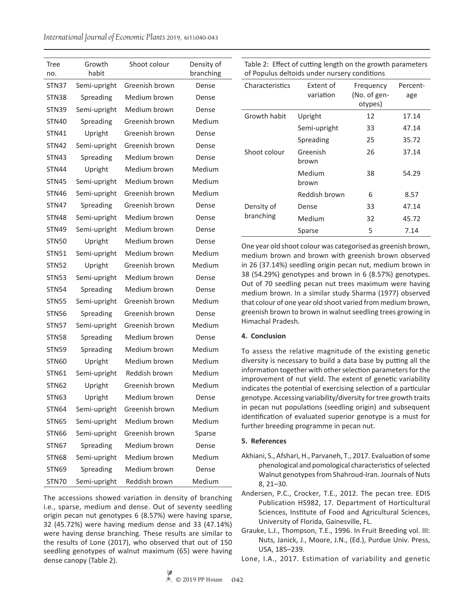*International Journal of Economic Plants* 2019, 6(1):040-043

| <b>Tree</b><br>no. | Growth<br>habit | Shoot colour   | Density of<br>branching |
|--------------------|-----------------|----------------|-------------------------|
| STN37              | Semi-upright    | Greenish brown | Dense                   |
| STN38              | Spreading       | Medium brown   | Dense                   |
| STN39              | Semi-upright    | Medium brown   | Dense                   |
| STN40              | Spreading       | Greenish brown | Medium                  |
| <b>STN41</b>       | Upright         | Greenish brown | Dense                   |
| <b>STN42</b>       | Semi-upright    | Greenish brown | Dense                   |
| STN43              | Spreading       | Medium brown   | Dense                   |
| STN44              | Upright         | Medium brown   | Medium                  |
| STN45              | Semi-upright    | Medium brown   | Medium                  |
| STN46              | Semi-upright    | Greenish brown | Medium                  |
| STN47              | Spreading       | Greenish brown | Dense                   |
| <b>STN48</b>       | Semi-upright    | Medium brown   | Dense                   |
| STN49              | Semi-upright    | Medium brown   | Dense                   |
| STN50              | Upright         | Medium brown   | Dense                   |
| STN51              | Semi-upright    | Medium brown   | Medium                  |
| <b>STN52</b>       | Upright         | Greenish brown | Medium                  |
| STN53              | Semi-upright    | Medium brown   | Dense                   |
| <b>STN54</b>       | Spreading       | Medium brown   | Dense                   |
| STN55              | Semi-upright    | Greenish brown | Medium                  |
| STN56              | Spreading       | Greenish brown | Dense                   |
| <b>STN57</b>       | Semi-upright    | Greenish brown | Medium                  |
| <b>STN58</b>       | Spreading       | Medium brown   | Dense                   |
| STN59              | Spreading       | Medium brown   | Medium                  |
| STN60              | Upright         | Medium brown   | Medium                  |
| STN61              | Semi-upright    | Reddish brown  | Medium                  |
| STN <sub>62</sub>  | Upright         | Greenish brown | Medium                  |
| <b>STN63</b>       | Upright         | Medium brown   | Dense                   |
| <b>STN64</b>       | Semi-upright    | Greenish brown | Medium                  |
| <b>STN65</b>       | Semi-upright    | Medium brown   | Medium                  |
| STN66              | Semi-upright    | Greenish brown | Sparse                  |
| STN67              | Spreading       | Medium brown   | Dense                   |
| STN68              | Semi-upright    | Medium brown   | Medium                  |
| STN69              | Spreading       | Medium brown   | Dense                   |
| STN70              | Semi-upright    | Reddish brown  | Medium                  |

The accessions showed variation in density of branching i.e., sparse, medium and dense. Out of seventy seedling origin pecan nut genotypes 6 (8.57%) were having sparse, 32 (45.72%) were having medium dense and 33 (47.14%) were having dense branching. These results are similar to the results of Lone (2017), who observed that out of 150 seedling genotypes of walnut maximum (65) were having dense canopy (Table 2).

Table 2: Effect of cutting length on the growth parameters of Populus deltoids under nursery conditions

| Characteristics | Extent of<br>variation | Frequency<br>(No. of gen-<br>otypes) | Percent-<br>age |
|-----------------|------------------------|--------------------------------------|-----------------|
| Growth habit    | Upright                | 12                                   | 17.14           |
|                 | Semi-upright           | 33                                   | 47.14           |
|                 | Spreading              | 25                                   | 35.72           |
| Shoot colour    | Greenish<br>brown      | 26                                   | 37.14           |
|                 | Medium<br>brown        | 38                                   | 54.29           |
|                 | Reddish brown          | 6                                    | 8.57            |
| Density of      | Dense                  | 33                                   | 47.14           |
| branching       | Medium                 | 32                                   | 45.72           |
|                 | Sparse                 | 5                                    | 7.14            |

One year old shoot colour was categorised as greenish brown, medium brown and brown with greenish brown observed in 26 (37.14%) seedling origin pecan nut, medium brown in 38 (54.29%) genotypes and brown in 6 (8.57%) genotypes. Out of 70 seedling pecan nut trees maximum were having medium brown. In a similar study Sharma (1977) observed that colour of one year old shoot varied from medium brown, greenish brown to brown in walnut seedling trees growing in Himachal Pradesh.

# **4. Conclusion**

To assess the relative magnitude of the existing genetic diversity is necessary to build a data base by putting all the information together with other selection parameters for the improvement of nut yield. The extent of genetic variability indicates the potential of exercising selection of a particular genotype. Accessing variability/diversity for tree growth traits in pecan nut populations (seedling origin) and subsequent identification of evaluated superior genotype is a must for further breeding programme in pecan nut.

## **5. References**

- Akhiani, S., Afshari, H., Parvaneh, T., 2017. Evaluation of some phenological and pomological characteristics of selected Walnut genotypes from Shahroud-Iran. Journals of Nuts 8, 21–30.
- Andersen, P.C., Crocker, T.E., 2012. The pecan tree. EDIS Publication HS982, 17. Department of Horticultural Sciences, Institute of Food and Agricultural Sciences, University of Florida, Gainesville, FL.
- Grauke, L.J., Thompson, T.E., 1996. In Fruit Breeding vol. III: Nuts, Janick, J., Moore, J.N., (Ed.), Purdue Univ. Press, USA, 185–239.
- Lone, I.A., 2017. Estimation of variability and genetic